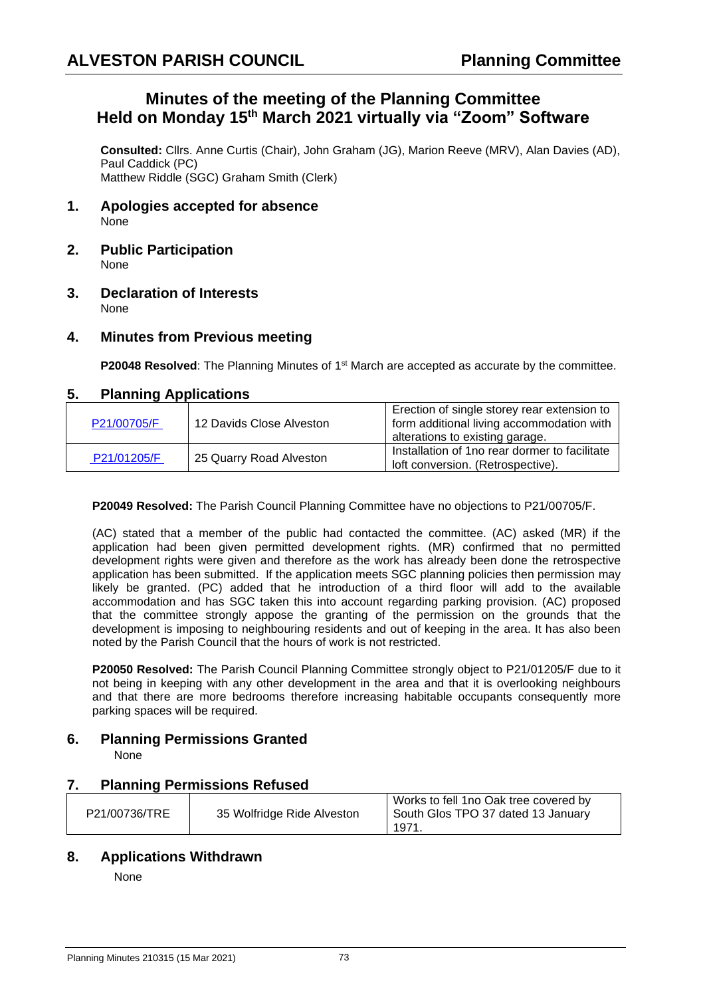# **Minutes of the meeting of the Planning Committee Held on Monday 15th March 2021 virtually via "Zoom" Software**

**Consulted:** Cllrs. Anne Curtis (Chair), John Graham (JG), Marion Reeve (MRV), Alan Davies (AD), Paul Caddick (PC) Matthew Riddle (SGC) Graham Smith (Clerk)

- **1. Apologies accepted for absence** None
- **2. Public Participation** None
- **3. Declaration of Interests** None

# **4. Minutes from Previous meeting**

**P20048 Resolved**: The Planning Minutes of 1<sup>st</sup> March are accepted as accurate by the committee.

#### **5. Planning Applications**

| P21/00705/F | 12 Davids Close Alveston | Erection of single storey rear extension to<br>form additional living accommodation with<br>alterations to existing garage. |
|-------------|--------------------------|-----------------------------------------------------------------------------------------------------------------------------|
| P21/01205/F | 25 Quarry Road Alveston  | Installation of 1 no rear dormer to facilitate<br>loft conversion. (Retrospective).                                         |

**P20049 Resolved:** The Parish Council Planning Committee have no objections to P21/00705/F.

(AC) stated that a member of the public had contacted the committee. (AC) asked (MR) if the application had been given permitted development rights. (MR) confirmed that no permitted development rights were given and therefore as the work has already been done the retrospective application has been submitted. If the application meets SGC planning policies then permission may likely be granted. (PC) added that he introduction of a third floor will add to the available accommodation and has SGC taken this into account regarding parking provision. (AC) proposed that the committee strongly appose the granting of the permission on the grounds that the development is imposing to neighbouring residents and out of keeping in the area. It has also been noted by the Parish Council that the hours of work is not restricted.

**P20050 Resolved:** The Parish Council Planning Committee strongly object to P21/01205/F due to it not being in keeping with any other development in the area and that it is overlooking neighbours and that there are more bedrooms therefore increasing habitable occupants consequently more parking spaces will be required.

# **6. Planning Permissions Granted**

None

# **7. Planning Permissions Refused**

|               |                            | Works to fell 1no Oak tree covered by |
|---------------|----------------------------|---------------------------------------|
| P21/00736/TRE | 35 Wolfridge Ride Alveston | South Glos TPO 37 dated 13 January    |
|               |                            | $197^{1}$                             |

# **8. Applications Withdrawn**

None